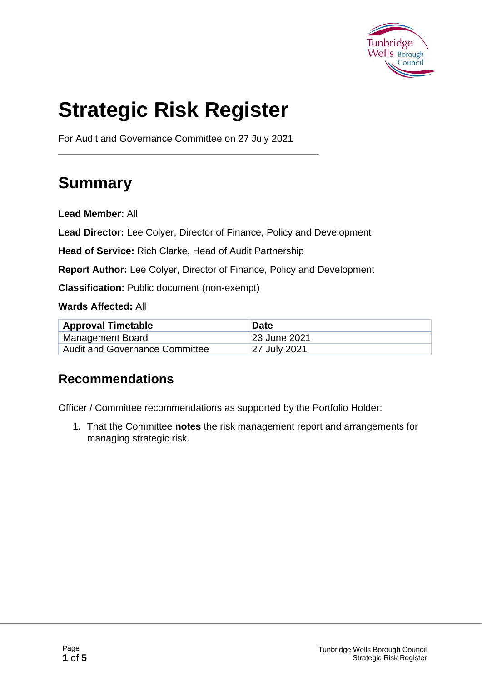

# **Strategic Risk Register**

For Audit and Governance Committee on 27 July 2021

# **Summary**

**Lead Member:** All

**Lead Director:** Lee Colyer, Director of Finance, Policy and Development

**Head of Service:** Rich Clarke, Head of Audit Partnership

**Report Author:** Lee Colyer, Director of Finance, Policy and Development

**Classification:** Public document (non-exempt)

**Wards Affected:** All

| <b>Approval Timetable</b>             | <b>Date</b>  |
|---------------------------------------|--------------|
| Management Board                      | 23 June 2021 |
| <b>Audit and Governance Committee</b> | 27 July 2021 |

#### **Recommendations**

Officer / Committee recommendations as supported by the Portfolio Holder:

1. That the Committee **notes** the risk management report and arrangements for managing strategic risk.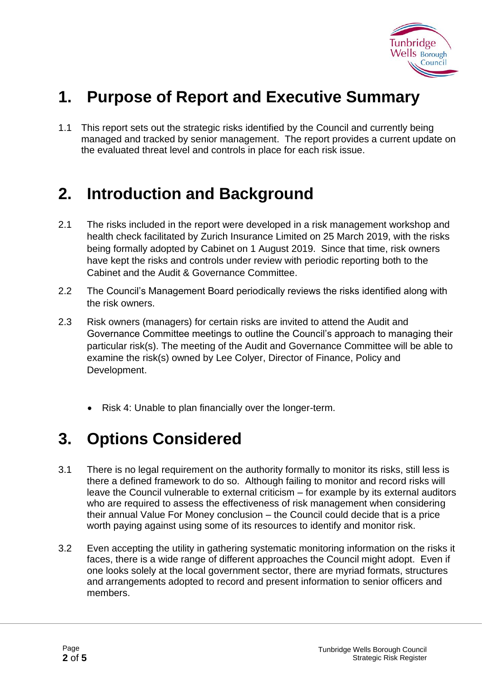

# **1. Purpose of Report and Executive Summary**

1.1 This report sets out the strategic risks identified by the Council and currently being managed and tracked by senior management. The report provides a current update on the evaluated threat level and controls in place for each risk issue.

### **2. Introduction and Background**

- 2.1 The risks included in the report were developed in a risk management workshop and health check facilitated by Zurich Insurance Limited on 25 March 2019, with the risks being formally adopted by Cabinet on 1 August 2019. Since that time, risk owners have kept the risks and controls under review with periodic reporting both to the Cabinet and the Audit & Governance Committee.
- 2.2 The Council's Management Board periodically reviews the risks identified along with the risk owners.
- 2.3 Risk owners (managers) for certain risks are invited to attend the Audit and Governance Committee meetings to outline the Council's approach to managing their particular risk(s). The meeting of the Audit and Governance Committee will be able to examine the risk(s) owned by Lee Colyer, Director of Finance, Policy and Development.
	- Risk 4: Unable to plan financially over the longer-term.

### **3. Options Considered**

- 3.1 There is no legal requirement on the authority formally to monitor its risks, still less is there a defined framework to do so. Although failing to monitor and record risks will leave the Council vulnerable to external criticism – for example by its external auditors who are required to assess the effectiveness of risk management when considering their annual Value For Money conclusion – the Council could decide that is a price worth paying against using some of its resources to identify and monitor risk.
- 3.2 Even accepting the utility in gathering systematic monitoring information on the risks it faces, there is a wide range of different approaches the Council might adopt. Even if one looks solely at the local government sector, there are myriad formats, structures and arrangements adopted to record and present information to senior officers and members.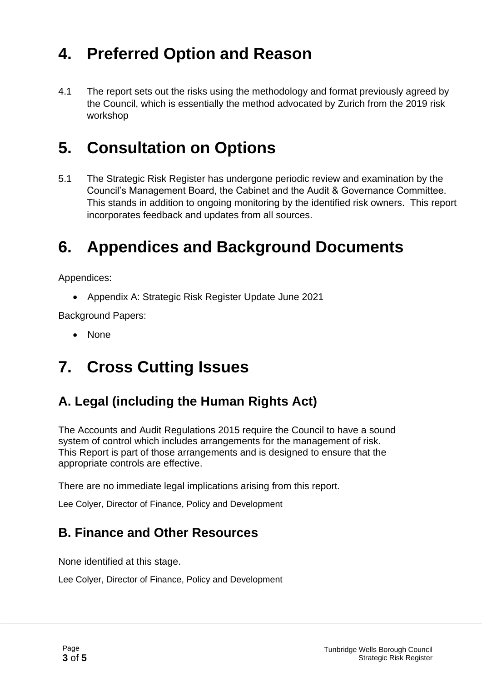## **4. Preferred Option and Reason**

4.1 The report sets out the risks using the methodology and format previously agreed by the Council, which is essentially the method advocated by Zurich from the 2019 risk workshop

## **5. Consultation on Options**

5.1 The Strategic Risk Register has undergone periodic review and examination by the Council's Management Board, the Cabinet and the Audit & Governance Committee. This stands in addition to ongoing monitoring by the identified risk owners. This report incorporates feedback and updates from all sources.

## **6. Appendices and Background Documents**

Appendices:

• Appendix A: Strategic Risk Register Update June 2021

Background Papers:

• None

# **7. Cross Cutting Issues**

#### **A. Legal (including the Human Rights Act)**

The Accounts and Audit Regulations 2015 require the Council to have a sound system of control which includes arrangements for the management of risk. This Report is part of those arrangements and is designed to ensure that the appropriate controls are effective.

There are no immediate legal implications arising from this report.

Lee Colyer, Director of Finance, Policy and Development

#### **B. Finance and Other Resources**

None identified at this stage.

Lee Colyer, Director of Finance, Policy and Development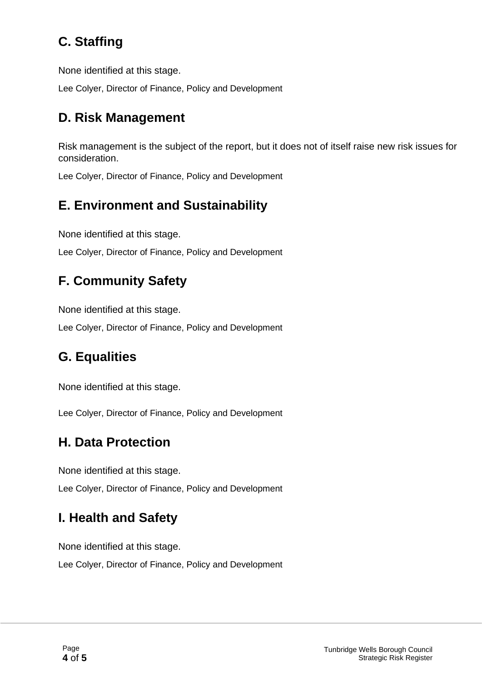### **C. Staffing**

None identified at this stage.

Lee Colyer, Director of Finance, Policy and Development

#### **D. Risk Management**

Risk management is the subject of the report, but it does not of itself raise new risk issues for consideration.

Lee Colyer, Director of Finance, Policy and Development

#### **E. Environment and Sustainability**

None identified at this stage.

Lee Colyer, Director of Finance, Policy and Development

### **F. Community Safety**

None identified at this stage.

Lee Colyer, Director of Finance, Policy and Development

#### **G. Equalities**

None identified at this stage.

Lee Colyer, Director of Finance, Policy and Development

#### **H. Data Protection**

None identified at this stage.

Lee Colyer, Director of Finance, Policy and Development

#### **I. Health and Safety**

None identified at this stage.

Lee Colyer, Director of Finance, Policy and Development